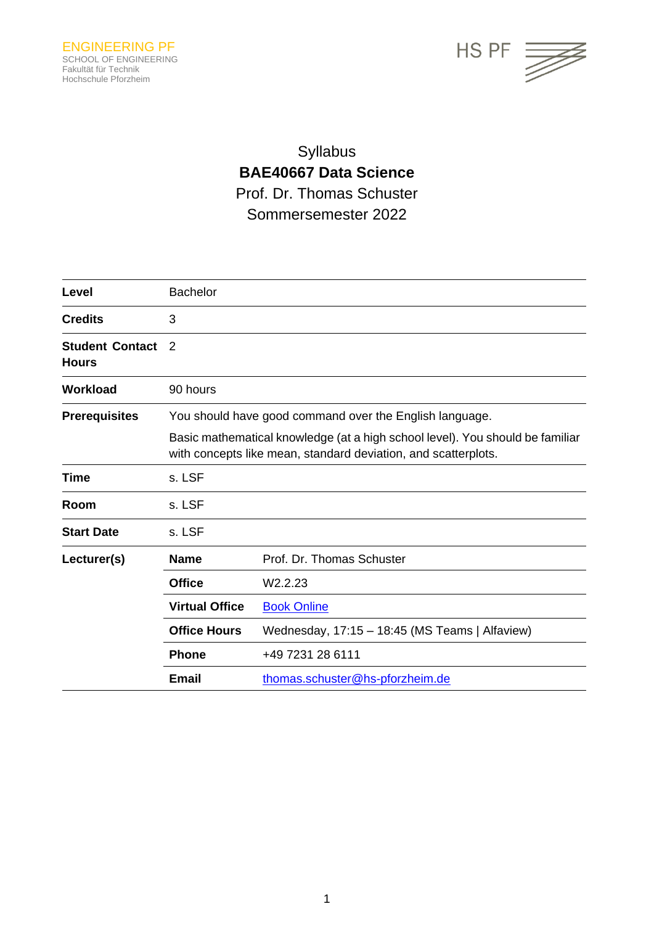

# Syllabus **BAE40667 Data Science** Prof. Dr. Thomas Schuster Sommersemester 2022

| Level                                  | <b>Bachelor</b>                                                                                                                                 |                                                |  |
|----------------------------------------|-------------------------------------------------------------------------------------------------------------------------------------------------|------------------------------------------------|--|
| <b>Credits</b>                         | 3                                                                                                                                               |                                                |  |
| <b>Student Contact</b><br><b>Hours</b> | 2                                                                                                                                               |                                                |  |
| <b>Workload</b>                        | 90 hours                                                                                                                                        |                                                |  |
| <b>Prerequisites</b>                   | You should have good command over the English language.                                                                                         |                                                |  |
|                                        | Basic mathematical knowledge (at a high school level). You should be familiar<br>with concepts like mean, standard deviation, and scatterplots. |                                                |  |
| Time                                   | s. LSF                                                                                                                                          |                                                |  |
| Room                                   | s. LSF                                                                                                                                          |                                                |  |
| <b>Start Date</b>                      | s. LSF                                                                                                                                          |                                                |  |
| Lecturer(s)                            | <b>Name</b>                                                                                                                                     | Prof. Dr. Thomas Schuster                      |  |
|                                        | <b>Office</b>                                                                                                                                   | W2.2.23                                        |  |
|                                        | <b>Virtual Office</b>                                                                                                                           | <b>Book Online</b>                             |  |
|                                        | <b>Office Hours</b>                                                                                                                             | Wednesday, 17:15 - 18:45 (MS Teams   Alfaview) |  |
|                                        | <b>Phone</b>                                                                                                                                    | +49 7231 28 6111                               |  |
|                                        | Email                                                                                                                                           | thomas.schuster@hs-pforzheim.de                |  |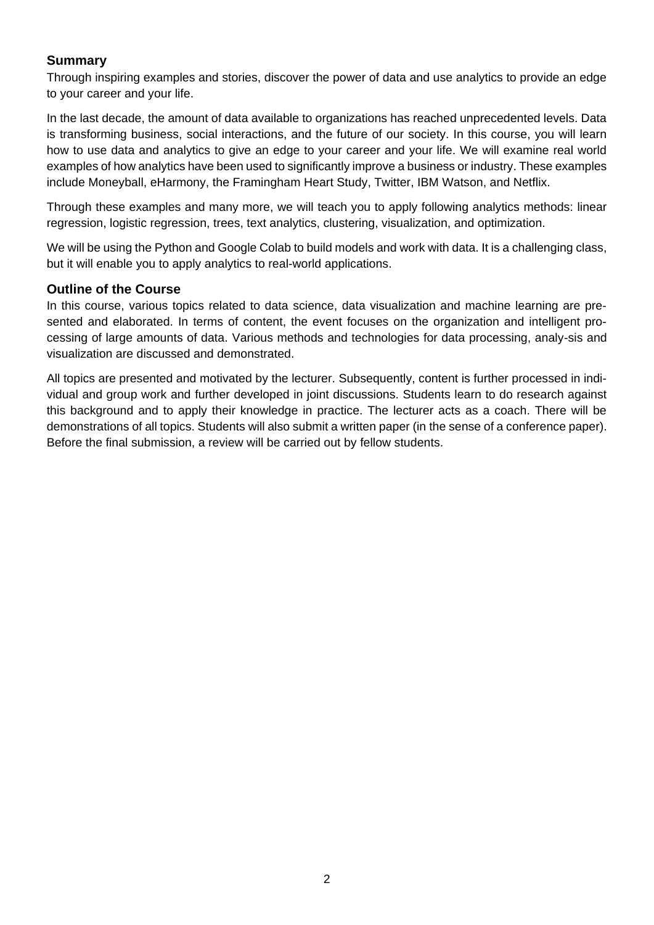# **Summary**

Through inspiring examples and stories, discover the power of data and use analytics to provide an edge to your career and your life.

In the last decade, the amount of data available to organizations has reached unprecedented levels. Data is transforming business, social interactions, and the future of our society. In this course, you will learn how to use data and analytics to give an edge to your career and your life. We will examine real world examples of how analytics have been used to significantly improve a business or industry. These examples include Moneyball, eHarmony, the Framingham Heart Study, Twitter, IBM Watson, and Netflix.

Through these examples and many more, we will teach you to apply following analytics methods: linear regression, logistic regression, trees, text analytics, clustering, visualization, and optimization.

We will be using the Python and Google Colab to build models and work with data. It is a challenging class, but it will enable you to apply analytics to real-world applications.

#### **Outline of the Course**

In this course, various topics related to data science, data visualization and machine learning are presented and elaborated. In terms of content, the event focuses on the organization and intelligent processing of large amounts of data. Various methods and technologies for data processing, analy-sis and visualization are discussed and demonstrated.

All topics are presented and motivated by the lecturer. Subsequently, content is further processed in individual and group work and further developed in joint discussions. Students learn to do research against this background and to apply their knowledge in practice. The lecturer acts as a coach. There will be demonstrations of all topics. Students will also submit a written paper (in the sense of a conference paper). Before the final submission, a review will be carried out by fellow students.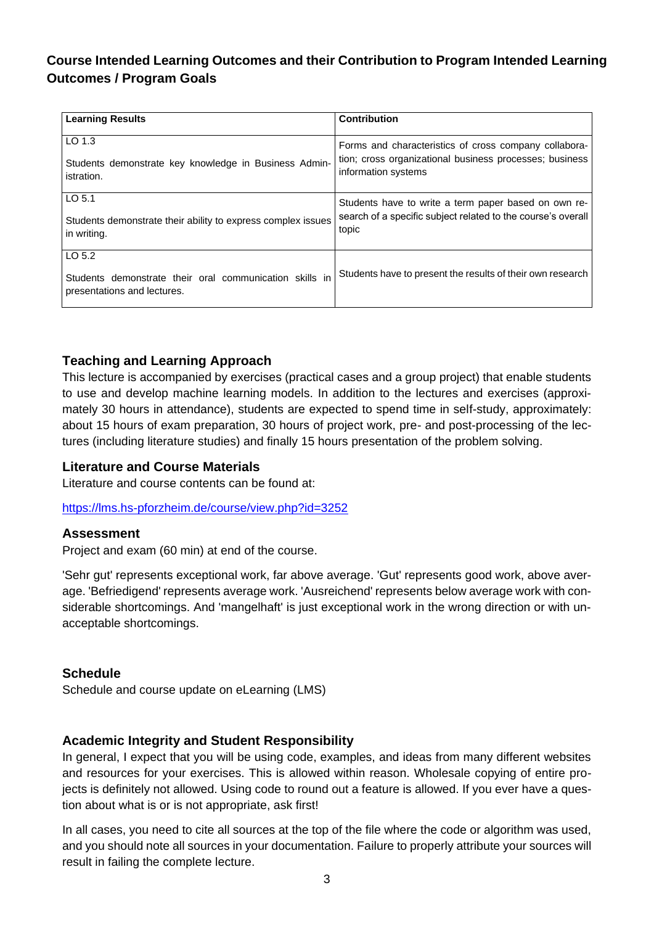# **Course Intended Learning Outcomes and their Contribution to Program Intended Learning Outcomes / Program Goals**

| <b>Learning Results</b>                                                                          | <b>Contribution</b>                                                                                                                     |
|--------------------------------------------------------------------------------------------------|-----------------------------------------------------------------------------------------------------------------------------------------|
| LO 1.3<br>Students demonstrate key knowledge in Business Admin-<br>istration.                    | Forms and characteristics of cross company collabora-<br>tion; cross organizational business processes; business<br>information systems |
|                                                                                                  |                                                                                                                                         |
| LO <sub>5.1</sub><br>Students demonstrate their ability to express complex issues<br>in writing. | Students have to write a term paper based on own re-<br>search of a specific subject related to the course's overall<br>topic           |
| LO 5.2<br>Students demonstrate their oral communication skills in<br>presentations and lectures. | Students have to present the results of their own research                                                                              |

# **Teaching and Learning Approach**

This lecture is accompanied by exercises (practical cases and a group project) that enable students to use and develop machine learning models. In addition to the lectures and exercises (approximately 30 hours in attendance), students are expected to spend time in self-study, approximately: about 15 hours of exam preparation, 30 hours of project work, pre- and post-processing of the lectures (including literature studies) and finally 15 hours presentation of the problem solving.

#### **Literature and Course Materials**

Literature and course contents can be found at:

<https://lms.hs-pforzheim.de/course/view.php?id=3252>

#### **Assessment**

Project and exam (60 min) at end of the course.

'Sehr gut' represents exceptional work, far above average. 'Gut' represents good work, above average. 'Befriedigend' represents average work. 'Ausreichend' represents below average work with considerable shortcomings. And 'mangelhaft' is just exceptional work in the wrong direction or with unacceptable shortcomings.

#### **Schedule**

Schedule and course update on eLearning (LMS)

#### **Academic Integrity and Student Responsibility**

In general, I expect that you will be using code, examples, and ideas from many different websites and resources for your exercises. This is allowed within reason. Wholesale copying of entire projects is definitely not allowed. Using code to round out a feature is allowed. If you ever have a question about what is or is not appropriate, ask first!

In all cases, you need to cite all sources at the top of the file where the code or algorithm was used, and you should note all sources in your documentation. Failure to properly attribute your sources will result in failing the complete lecture.